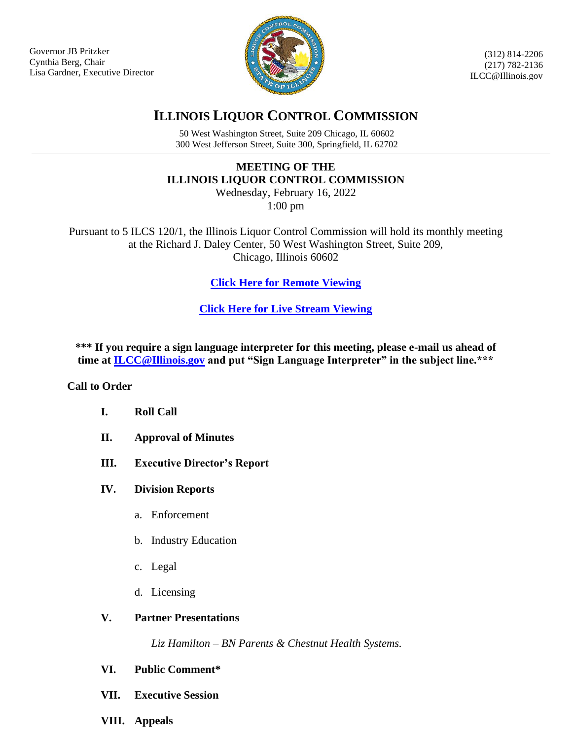Governor JB Pritzker Cynthia Berg, Chair Lisa Gardner, Executive Director



(312) 814-2206 (217) 782-2136 ILCC@Illinois.gov

# **ILLINOIS LIQUOR CONTROL COMMISSION**

50 West Washington Street, Suite 209 Chicago, IL 60602 300 West Jefferson Street, Suite 300, Springfield, IL 62702

## **MEETING OF THE ILLINOIS LIQUOR CONTROL COMMISSION**

Wednesday, February 16, 2022 1:00 pm

Pursuant to 5 ILCS 120/1, the Illinois Liquor Control Commission will hold its monthly meeting at the Richard J. Daley Center, 50 West Washington Street, Suite 209, Chicago, Illinois 60602

**[Click Here for Remote Viewing](https://illinois.webex.com/illinois/j.php?MTID=m1fda4c34312dcd38888232d7122cb14d)**

**[Click Here for Live Stream Viewing](https://multimedia.illinois.gov/lcc/lcc-live.html)**

**\*\*\* If you require a sign language interpreter for this meeting, please e-mail us ahead of time at [ILCC@Illinois.gov](mailto:ILCC@Illinois.gov) and put "Sign Language Interpreter" in the subject line.\*\*\***

#### **Call to Order**

- **I. Roll Call**
- **II. Approval of Minutes**
- **III. Executive Director's Report**
- **IV. Division Reports**
	- a. Enforcement
	- b. Industry Education
	- c. Legal
	- d. Licensing

#### **V. Partner Presentations**

*Liz Hamilton – BN Parents & Chestnut Health Systems.*

- **VI. Public Comment\***
- **VII. Executive Session**
- **VIII. Appeals**